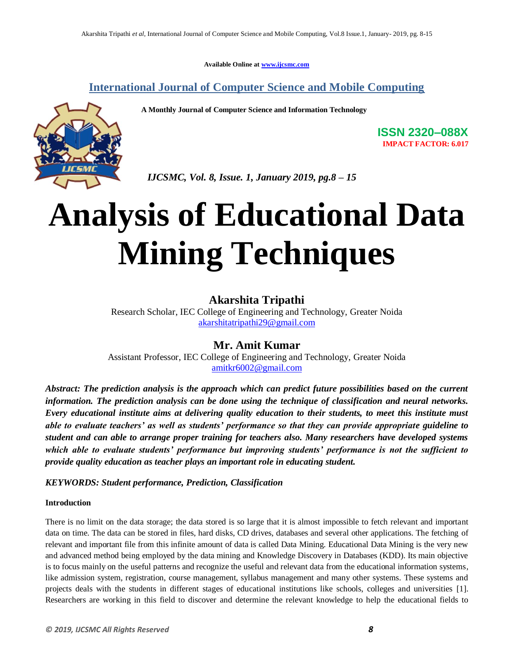**Available Online at www.ijcsmc.com**

# **International Journal of Computer Science and Mobile Computing**

 **A Monthly Journal of Computer Science and Information Technology**



**ISSN 2320–088X IMPACT FACTOR: 6.017**

 *IJCSMC, Vol. 8, Issue. 1, January 2019, pg.8 – 15*

# **Analysis of Educational Data Mining Techniques**

## **Akarshita Tripathi**

Research Scholar, IEC College of Engineering and Technology, Greater Noida akarshitatripathi29@gmail.com

### **Mr. Amit Kumar**

Assistant Professor, IEC College of Engineering and Technology, Greater Noida amitkr6002@gmail.com

*Abstract: The prediction analysis is the approach which can predict future possibilities based on the current information. The prediction analysis can be done using the technique of classification and neural networks. Every educational institute aims at delivering quality education to their students, to meet this institute must able to evaluate teachers' as well as students' performance so that they can provide appropriate guideline to student and can able to arrange proper training for teachers also. Many researchers have developed systems which able to evaluate students' performance but improving students' performance is not the sufficient to provide quality education as teacher plays an important role in educating student.*

#### *KEYWORDS: Student performance, Prediction, Classification*

#### **Introduction**

There is no limit on the data storage; the data stored is so large that it is almost impossible to fetch relevant and important data on time. The data can be stored in files, hard disks, CD drives, databases and several other applications. The fetching of relevant and important file from this infinite amount of data is called Data Mining. Educational Data Mining is the very new and advanced method being employed by the data mining and Knowledge Discovery in Databases (KDD). Its main objective is to focus mainly on the useful patterns and recognize the useful and relevant data from the educational information systems, like admission system, registration, course management, syllabus management and many other systems. These systems and projects deals with the students in different stages of educational institutions like schools, colleges and universities [1]. Researchers are working in this field to discover and determine the relevant knowledge to help the educational fields to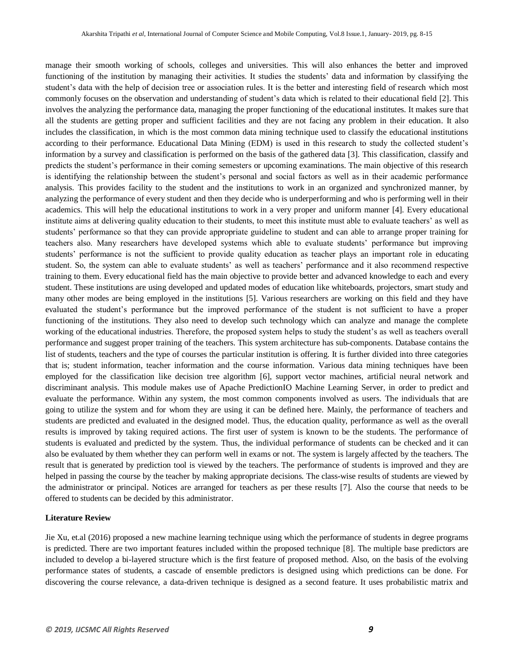manage their smooth working of schools, colleges and universities. This will also enhances the better and improved functioning of the institution by managing their activities. It studies the students" data and information by classifying the student"s data with the help of decision tree or association rules. It is the better and interesting field of research which most commonly focuses on the observation and understanding of student"s data which is related to their educational field [2]. This involves the analyzing the performance data, managing the proper functioning of the educational institutes. It makes sure that all the students are getting proper and sufficient facilities and they are not facing any problem in their education. It also includes the classification, in which is the most common data mining technique used to classify the educational institutions according to their performance. Educational Data Mining (EDM) is used in this research to study the collected student"s information by a survey and classification is performed on the basis of the gathered data [3]. This classification, classify and predicts the student"s performance in their coming semesters or upcoming examinations. The main objective of this research is identifying the relationship between the student"s personal and social factors as well as in their academic performance analysis. This provides facility to the student and the institutions to work in an organized and synchronized manner, by analyzing the performance of every student and then they decide who is underperforming and who is performing well in their academics. This will help the educational institutions to work in a very proper and uniform manner [4]. Every educational institute aims at delivering quality education to their students, to meet this institute must able to evaluate teachers" as well as students" performance so that they can provide appropriate guideline to student and can able to arrange proper training for teachers also. Many researchers have developed systems which able to evaluate students" performance but improving students' performance is not the sufficient to provide quality education as teacher plays an important role in educating student. So, the system can able to evaluate students' as well as teachers' performance and it also recommend respective training to them. Every educational field has the main objective to provide better and advanced knowledge to each and every student. These institutions are using developed and updated modes of education like whiteboards, projectors, smart study and many other modes are being employed in the institutions [5]. Various researchers are working on this field and they have evaluated the student"s performance but the improved performance of the student is not sufficient to have a proper functioning of the institutions. They also need to develop such technology which can analyze and manage the complete working of the educational industries. Therefore, the proposed system helps to study the student"s as well as teachers overall performance and suggest proper training of the teachers. This system architecture has sub-components. Database contains the list of students, teachers and the type of courses the particular institution is offering. It is further divided into three categories that is; student information, teacher information and the course information. Various data mining techniques have been employed for the classification like decision tree algorithm [6], support vector machines, artificial neural network and discriminant analysis. This module makes use of Apache PredictionIO Machine Learning Server, in order to predict and evaluate the performance. Within any system, the most common components involved as users. The individuals that are going to utilize the system and for whom they are using it can be defined here. Mainly, the performance of teachers and students are predicted and evaluated in the designed model. Thus, the education quality, performance as well as the overall results is improved by taking required actions. The first user of system is known to be the students. The performance of students is evaluated and predicted by the system. Thus, the individual performance of students can be checked and it can also be evaluated by them whether they can perform well in exams or not. The system is largely affected by the teachers. The result that is generated by prediction tool is viewed by the teachers. The performance of students is improved and they are helped in passing the course by the teacher by making appropriate decisions. The class-wise results of students are viewed by the administrator or principal. Notices are arranged for teachers as per these results [7]. Also the course that needs to be offered to students can be decided by this administrator.

#### **Literature Review**

Jie Xu, et.al (2016) proposed a new machine learning technique using which the performance of students in degree programs is predicted. There are two important features included within the proposed technique [8]. The multiple base predictors are included to develop a bi-layered structure which is the first feature of proposed method. Also, on the basis of the evolving performance states of students, a cascade of ensemble predictors is designed using which predictions can be done. For discovering the course relevance, a data-driven technique is designed as a second feature. It uses probabilistic matrix and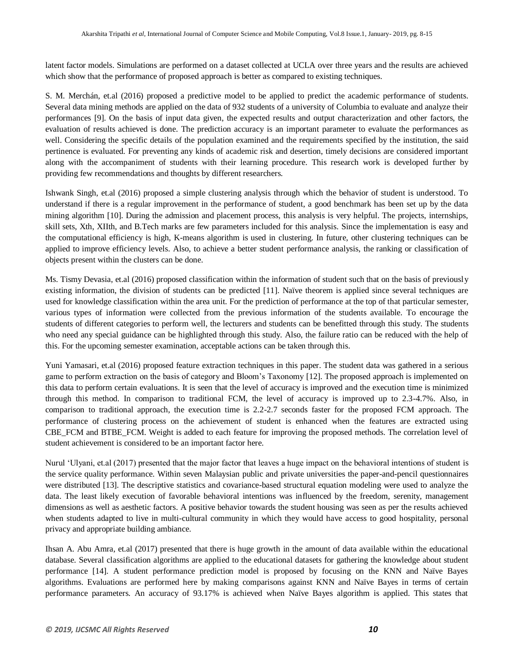latent factor models. Simulations are performed on a dataset collected at UCLA over three years and the results are achieved which show that the performance of proposed approach is better as compared to existing techniques.

S. M. Merchán, et.al (2016) proposed a predictive model to be applied to predict the academic performance of students. Several data mining methods are applied on the data of 932 students of a university of Columbia to evaluate and analyze their performances [9]. On the basis of input data given, the expected results and output characterization and other factors, the evaluation of results achieved is done. The prediction accuracy is an important parameter to evaluate the performances as well. Considering the specific details of the population examined and the requirements specified by the institution, the said pertinence is evaluated. For preventing any kinds of academic risk and desertion, timely decisions are considered important along with the accompaniment of students with their learning procedure. This research work is developed further by providing few recommendations and thoughts by different researchers.

Ishwank Singh, et.al (2016) proposed a simple clustering analysis through which the behavior of student is understood. To understand if there is a regular improvement in the performance of student, a good benchmark has been set up by the data mining algorithm [10]. During the admission and placement process, this analysis is very helpful. The projects, internships, skill sets, Xth, XIIth, and B.Tech marks are few parameters included for this analysis. Since the implementation is easy and the computational efficiency is high, K-means algorithm is used in clustering. In future, other clustering techniques can be applied to improve efficiency levels. Also, to achieve a better student performance analysis, the ranking or classification of objects present within the clusters can be done.

Ms. Tismy Devasia, et.al (2016) proposed classification within the information of student such that on the basis of previously existing information, the division of students can be predicted [11]. Naïve theorem is applied since several techniques are used for knowledge classification within the area unit. For the prediction of performance at the top of that particular semester, various types of information were collected from the previous information of the students available. To encourage the students of different categories to perform well, the lecturers and students can be benefitted through this study. The students who need any special guidance can be highlighted through this study. Also, the failure ratio can be reduced with the help of this. For the upcoming semester examination, acceptable actions can be taken through this.

Yuni Yamasari, et.al (2016) proposed feature extraction techniques in this paper. The student data was gathered in a serious game to perform extraction on the basis of category and Bloom"s Taxonomy [12]. The proposed approach is implemented on this data to perform certain evaluations. It is seen that the level of accuracy is improved and the execution time is minimized through this method. In comparison to traditional FCM, the level of accuracy is improved up to 2.3-4.7%. Also, in comparison to traditional approach, the execution time is 2.2-2.7 seconds faster for the proposed FCM approach. The performance of clustering process on the achievement of student is enhanced when the features are extracted using CBE\_FCM and BTBE\_FCM. Weight is added to each feature for improving the proposed methods. The correlation level of student achievement is considered to be an important factor here.

Nurul "Ulyani, et.al (2017) presented that the major factor that leaves a huge impact on the behavioral intentions of student is the service quality performance. Within seven Malaysian public and private universities the paper-and-pencil questionnaires were distributed [13]. The descriptive statistics and covariance-based structural equation modeling were used to analyze the data. The least likely execution of favorable behavioral intentions was influenced by the freedom, serenity, management dimensions as well as aesthetic factors. A positive behavior towards the student housing was seen as per the results achieved when students adapted to live in multi-cultural community in which they would have access to good hospitality, personal privacy and appropriate building ambiance.

Ihsan A. Abu Amra, et.al (2017) presented that there is huge growth in the amount of data available within the educational database. Several classification algorithms are applied to the educational datasets for gathering the knowledge about student performance [14]. A student performance prediction model is proposed by focusing on the KNN and Naïve Bayes algorithms. Evaluations are performed here by making comparisons against KNN and Naïve Bayes in terms of certain performance parameters. An accuracy of 93.17% is achieved when Naïve Bayes algorithm is applied. This states that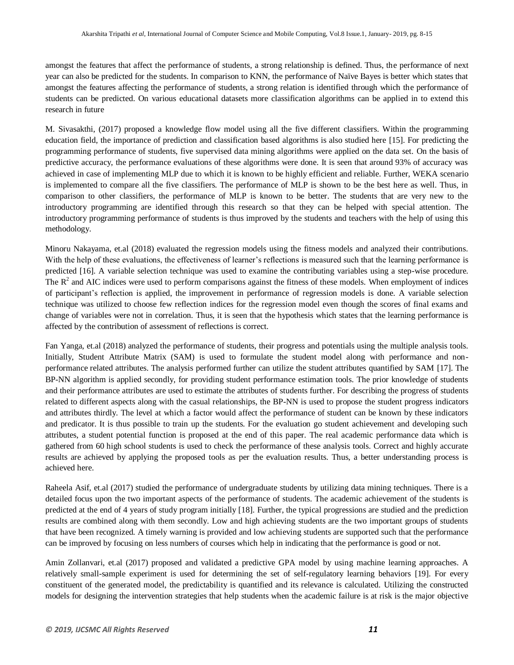amongst the features that affect the performance of students, a strong relationship is defined. Thus, the performance of next year can also be predicted for the students. In comparison to KNN, the performance of Naïve Bayes is better which states that amongst the features affecting the performance of students, a strong relation is identified through which the performance of students can be predicted. On various educational datasets more classification algorithms can be applied in to extend this research in future

M. Sivasakthi, (2017) proposed a knowledge flow model using all the five different classifiers. Within the programming education field, the importance of prediction and classification based algorithms is also studied here [15]. For predicting the programming performance of students, five supervised data mining algorithms were applied on the data set. On the basis of predictive accuracy, the performance evaluations of these algorithms were done. It is seen that around 93% of accuracy was achieved in case of implementing MLP due to which it is known to be highly efficient and reliable. Further, WEKA scenario is implemented to compare all the five classifiers. The performance of MLP is shown to be the best here as well. Thus, in comparison to other classifiers, the performance of MLP is known to be better. The students that are very new to the introductory programming are identified through this research so that they can be helped with special attention. The introductory programming performance of students is thus improved by the students and teachers with the help of using this methodology.

Minoru Nakayama, et.al (2018) evaluated the regression models using the fitness models and analyzed their contributions. With the help of these evaluations, the effectiveness of learner's reflections is measured such that the learning performance is predicted [16]. A variable selection technique was used to examine the contributing variables using a step-wise procedure. The  $R<sup>2</sup>$  and AIC indices were used to perform comparisons against the fitness of these models. When employment of indices of participant"s reflection is applied, the improvement in performance of regression models is done. A variable selection technique was utilized to choose few reflection indices for the regression model even though the scores of final exams and change of variables were not in correlation. Thus, it is seen that the hypothesis which states that the learning performance is affected by the contribution of assessment of reflections is correct.

Fan Yanga, et.al (2018) analyzed the performance of students, their progress and potentials using the multiple analysis tools. Initially, Student Attribute Matrix (SAM) is used to formulate the student model along with performance and nonperformance related attributes. The analysis performed further can utilize the student attributes quantified by SAM [17]. The BP-NN algorithm is applied secondly, for providing student performance estimation tools. The prior knowledge of students and their performance attributes are used to estimate the attributes of students further. For describing the progress of students related to different aspects along with the casual relationships, the BP-NN is used to propose the student progress indicators and attributes thirdly. The level at which a factor would affect the performance of student can be known by these indicators and predicator. It is thus possible to train up the students. For the evaluation go student achievement and developing such attributes, a student potential function is proposed at the end of this paper. The real academic performance data which is gathered from 60 high school students is used to check the performance of these analysis tools. Correct and highly accurate results are achieved by applying the proposed tools as per the evaluation results. Thus, a better understanding process is achieved here.

Raheela Asif, et.al (2017) studied the performance of undergraduate students by utilizing data mining techniques. There is a detailed focus upon the two important aspects of the performance of students. The academic achievement of the students is predicted at the end of 4 years of study program initially [18]. Further, the typical progressions are studied and the prediction results are combined along with them secondly. Low and high achieving students are the two important groups of students that have been recognized. A timely warning is provided and low achieving students are supported such that the performance can be improved by focusing on less numbers of courses which help in indicating that the performance is good or not.

Amin Zollanvari, et.al (2017) proposed and validated a predictive GPA model by using machine learning approaches. A relatively small-sample experiment is used for determining the set of self-regulatory learning behaviors [19]. For every constituent of the generated model, the predictability is quantified and its relevance is calculated. Utilizing the constructed models for designing the intervention strategies that help students when the academic failure is at risk is the major objective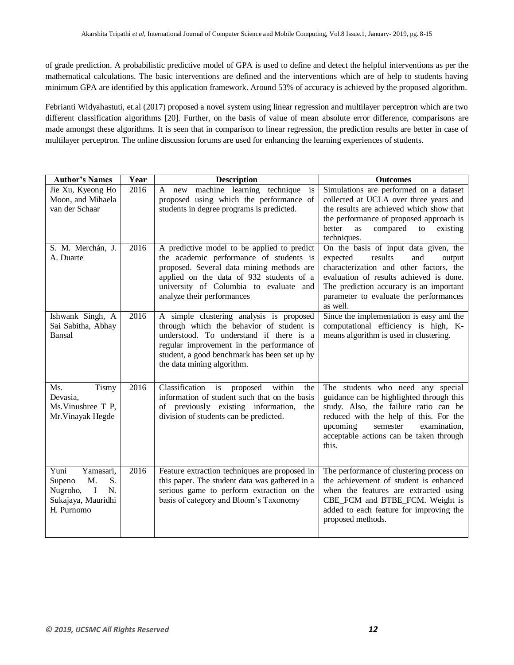of grade prediction. A probabilistic predictive model of GPA is used to define and detect the helpful interventions as per the mathematical calculations. The basic interventions are defined and the interventions which are of help to students having minimum GPA are identified by this application framework. Around 53% of accuracy is achieved by the proposed algorithm.

Febrianti Widyahastuti, et.al (2017) proposed a novel system using linear regression and multilayer perceptron which are two different classification algorithms [20]. Further, on the basis of value of mean absolute error difference, comparisons are made amongst these algorithms. It is seen that in comparison to linear regression, the prediction results are better in case of multilayer perceptron. The online discussion forums are used for enhancing the learning experiences of students.

| <b>Author's Names</b>                                                                                     | Year | <b>Description</b>                                                                                                                                                                                                                                         | <b>Outcomes</b>                                                                                                                                                                                                                                                      |
|-----------------------------------------------------------------------------------------------------------|------|------------------------------------------------------------------------------------------------------------------------------------------------------------------------------------------------------------------------------------------------------------|----------------------------------------------------------------------------------------------------------------------------------------------------------------------------------------------------------------------------------------------------------------------|
| Jie Xu, Kyeong Ho<br>Moon, and Mihaela<br>van der Schaar                                                  | 2016 | A new machine learning technique<br>is<br>proposed using which the performance of<br>students in degree programs is predicted.                                                                                                                             | Simulations are performed on a dataset<br>collected at UCLA over three years and<br>the results are achieved which show that<br>the performance of proposed approach is<br>better<br>compared<br>as<br>to<br>existing<br>techniques.                                 |
| S. M. Merchán, J.<br>A. Duarte                                                                            | 2016 | A predictive model to be applied to predict<br>the academic performance of students is<br>proposed. Several data mining methods are<br>applied on the data of 932 students of a<br>university of Columbia to evaluate and<br>analyze their performances    | On the basis of input data given, the<br>expected<br>results<br>and<br>output<br>characterization and other factors, the<br>evaluation of results achieved is done.<br>The prediction accuracy is an important<br>parameter to evaluate the performances<br>as well. |
| Ishwank Singh, A<br>Sai Sabitha, Abhay<br>Bansal                                                          | 2016 | A simple clustering analysis is proposed<br>through which the behavior of student is<br>understood. To understand if there is a<br>regular improvement in the performance of<br>student, a good benchmark has been set up by<br>the data mining algorithm. | Since the implementation is easy and the<br>computational efficiency is high, K-<br>means algorithm is used in clustering.                                                                                                                                           |
| <b>Tismy</b><br>Ms.<br>Devasia,<br>Ms. Vinushree T P,<br>Mr. Vinayak Hegde                                | 2016 | Classification<br>proposed<br>within<br>is<br>the<br>information of student such that on the basis<br>of previously existing information,<br>the<br>division of students can be predicted.                                                                 | The students who need any special<br>guidance can be highlighted through this<br>study. Also, the failure ratio can be<br>reduced with the help of this. For the<br>upcoming<br>semester<br>examination,<br>acceptable actions can be taken through<br>this.         |
| Yamasari,<br>Yuni<br>M.<br>S.<br>Supeno<br>Nugroho,<br>$\bf{I}$<br>N.<br>Sukajaya, Mauridhi<br>H. Purnomo | 2016 | Feature extraction techniques are proposed in<br>this paper. The student data was gathered in a<br>serious game to perform extraction on the<br>basis of category and Bloom's Taxonomy                                                                     | The performance of clustering process on<br>the achievement of student is enhanced<br>when the features are extracted using<br>CBE_FCM and BTBE_FCM. Weight is<br>added to each feature for improving the<br>proposed methods.                                       |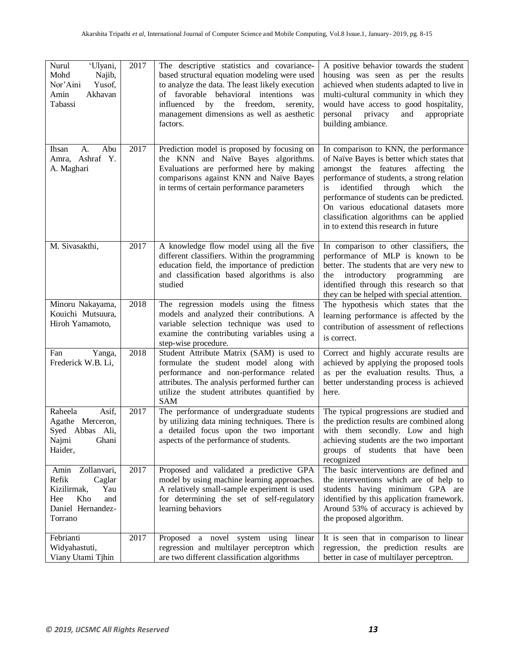| Nurul<br>'Ulyani,<br>Mohd<br>Najib,<br>Nor'Aini<br>Yusof,<br>Amin<br>Akhavan<br>Tabassi                           | 2017 | The descriptive statistics and covariance-<br>based structural equation modeling were used<br>to analyze the data. The least likely execution<br>of favorable behavioral intentions was<br>influenced by the<br>freedom,<br>serenity,<br>management dimensions as well as aesthetic<br>factors. | A positive behavior towards the student<br>housing was seen as per the results<br>achieved when students adapted to live in<br>multi-cultural community in which they<br>would have access to good hospitality,<br>personal<br>privacy<br>and<br>appropriate<br>building ambiance.                                                                                                              |
|-------------------------------------------------------------------------------------------------------------------|------|-------------------------------------------------------------------------------------------------------------------------------------------------------------------------------------------------------------------------------------------------------------------------------------------------|-------------------------------------------------------------------------------------------------------------------------------------------------------------------------------------------------------------------------------------------------------------------------------------------------------------------------------------------------------------------------------------------------|
| Abu<br>А.<br>Ihsan<br>Amra, Ashraf Y.<br>A. Maghari                                                               | 2017 | Prediction model is proposed by focusing on<br>the KNN and Naïve Bayes algorithms.<br>Evaluations are performed here by making<br>comparisons against KNN and Naïve Bayes<br>in terms of certain performance parameters                                                                         | In comparison to KNN, the performance<br>of Naïve Bayes is better which states that<br>amongst the features affecting the<br>performance of students, a strong relation<br>through<br>identified<br>which<br>is<br>the<br>performance of students can be predicted.<br>On various educational datasets more<br>classification algorithms can be applied<br>in to extend this research in future |
| M. Sivasakthi,                                                                                                    | 2017 | A knowledge flow model using all the five<br>different classifiers. Within the programming<br>education field, the importance of prediction<br>and classification based algorithms is also<br>studied                                                                                           | In comparison to other classifiers, the<br>performance of MLP is known to be<br>better. The students that are very new to<br>the introductory programming<br>are<br>identified through this research so that<br>they can be helped with special attention.                                                                                                                                      |
| Minoru Nakayama,<br>Kouichi Mutsuura,<br>Hiroh Yamamoto,                                                          | 2018 | The regression models using the fitness<br>models and analyzed their contributions. A<br>variable selection technique was used to<br>examine the contributing variables using a<br>step-wise procedure.                                                                                         | The hypothesis which states that the<br>learning performance is affected by the<br>contribution of assessment of reflections<br>is correct.                                                                                                                                                                                                                                                     |
| Fan<br>Yanga,<br>Frederick W.B. Li,                                                                               | 2018 | Student Attribute Matrix (SAM) is used to<br>formulate the student model along with<br>performance and non-performance related<br>attributes. The analysis performed further can<br>utilize the student attributes quantified by<br><b>SAM</b>                                                  | Correct and highly accurate results are<br>achieved by applying the proposed tools<br>as per the evaluation results. Thus, a<br>better understanding process is achieved<br>here.                                                                                                                                                                                                               |
| Raheela<br>Asif,<br>Agathe Merceron,<br>Syed Abbas Ali,<br>Najmi<br>Ghani<br>Haider,                              | 2017 | The performance of undergraduate students<br>by utilizing data mining techniques. There is<br>a detailed focus upon the two important<br>aspects of the performance of students.                                                                                                                | The typical progressions are studied and<br>the prediction results are combined along<br>with them secondly. Low and high<br>achieving students are the two important<br>groups of students that have been<br>recognized                                                                                                                                                                        |
| Zollanvari,<br>Amin<br>Refik<br>Caglar<br>Kizilirmak,<br>Yau<br>Kho<br>Hee<br>and<br>Daniel Hernandez-<br>Torrano | 2017 | Proposed and validated a predictive GPA<br>model by using machine learning approaches.<br>A relatively small-sample experiment is used<br>for determining the set of self-regulatory<br>learning behaviors                                                                                      | The basic interventions are defined and<br>the interventions which are of help to<br>students having minimum GPA are<br>identified by this application framework.<br>Around 53% of accuracy is achieved by<br>the proposed algorithm.                                                                                                                                                           |
| Febrianti<br>Widyahastuti,<br>Viany Utami Tjhin                                                                   | 2017 | Proposed a novel system using<br>linear<br>regression and multilayer perceptron which<br>are two different classification algorithms                                                                                                                                                            | It is seen that in comparison to linear<br>regression, the prediction results are<br>better in case of multilayer perceptron.                                                                                                                                                                                                                                                                   |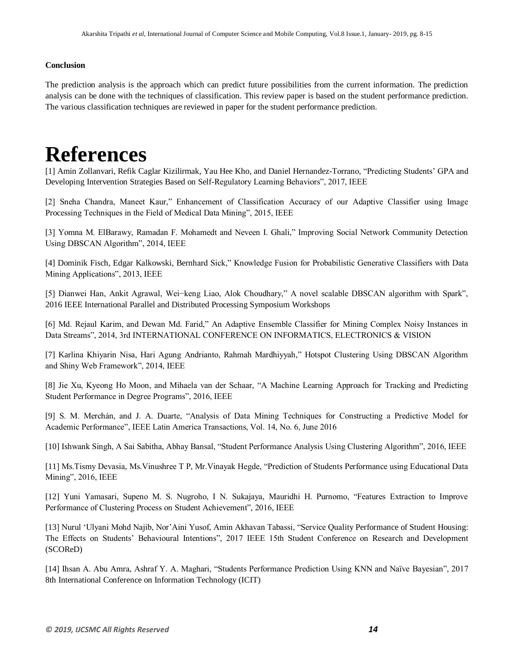#### **Conclusion**

The prediction analysis is the approach which can predict future possibilities from the current information. The prediction analysis can be done with the techniques of classification. This review paper is based on the student performance prediction. The various classification techniques are reviewed in paper for the student performance prediction.

# **References**

[1] Amin Zollanvari, Refik Caglar Kizilirmak, Yau Hee Kho, and Daniel Hernandez-Torrano, "Predicting Students" GPA and Developing Intervention Strategies Based on Self-Regulatory Learning Behaviors", 2017, IEEE

[2] Sneha Chandra, Maneet Kaur," Enhancement of Classification Accuracy of our Adaptive Classifier using Image Processing Techniques in the Field of Medical Data Mining", 2015, IEEE

[3] Yomna M. ElBarawy, Ramadan F. Mohamedt and Neveen I. Ghali," Improving Social Network Community Detection Using DBSCAN Algorithm", 2014, IEEE

[4] Dominik Fisch, Edgar Kalkowski, Bernhard Sick," Knowledge Fusion for Probabilistic Generative Classifiers with Data Mining Applications", 2013, IEEE

[5] Dianwei Han, Ankit Agrawal, Wei−keng Liao, Alok Choudhary," A novel scalable DBSCAN algorithm with Spark", 2016 IEEE International Parallel and Distributed Processing Symposium Workshops

[6] Md. Rejaul Karim, and Dewan Md. Farid," An Adaptive Ensemble Classifier for Mining Complex Noisy Instances in Data Streams", 2014, 3rd INTERNATIONAL CONFERENCE ON INFORMATICS, ELECTRONICS & VISION

[7] Karlina Khiyarin Nisa, Hari Agung Andrianto, Rahmah Mardhiyyah," Hotspot Clustering Using DBSCAN Algorithm and Shiny Web Framework", 2014, IEEE

[8] Jie Xu, Kyeong Ho Moon, and Mihaela van der Schaar, "A Machine Learning Approach for Tracking and Predicting Student Performance in Degree Programs", 2016, IEEE

[9] S. M. Merchán, and J. A. Duarte, "Analysis of Data Mining Techniques for Constructing a Predictive Model for Academic Performance", IEEE Latin America Transactions, Vol. 14, No. 6, June 2016

[10] Ishwank Singh, A Sai Sabitha, Abhay Bansal, "Student Performance Analysis Using Clustering Algorithm", 2016, IEEE

[11] Ms.Tismy Devasia, Ms.Vinushree T P, Mr.Vinayak Hegde, "Prediction of Students Performance using Educational Data Mining", 2016, IEEE

[12] Yuni Yamasari, Supeno M. S. Nugroho, I N. Sukajaya, Mauridhi H. Purnomo, "Features Extraction to Improve Performance of Clustering Process on Student Achievement", 2016, IEEE

[13] Nurul "Ulyani Mohd Najib, Nor"Aini Yusof, Amin Akhavan Tabassi, "Service Quality Performance of Student Housing: The Effects on Students" Behavioural Intentions", 2017 IEEE 15th Student Conference on Research and Development (SCOReD)

[14] Ihsan A. Abu Amra, Ashraf Y. A. Maghari, "Students Performance Prediction Using KNN and Naïve Bayesian", 2017 8th International Conference on Information Technology (ICIT)